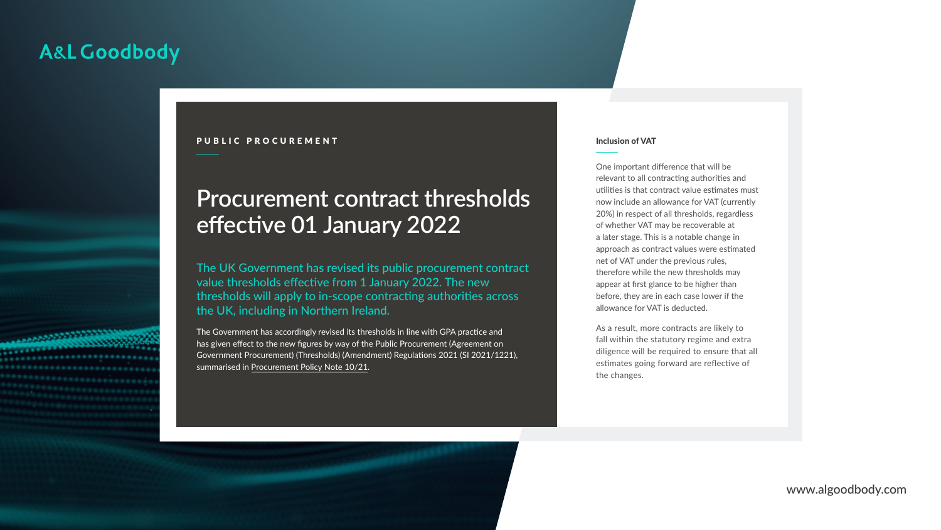www.algoodbody.com

# Inclusion of VAT

One important difference that will be relevant to all contracting authorities and utilities is that contract value estimates must now include an allowance for VAT (currently 20%) in respect of all thresholds, regardless of whether VAT may be recoverable at a later stage. This is a notable change in approach as contract values were estimated net of VAT under the previous rules, therefore while the new thresholds may appear at first glance to be higher than before, they are in each case lower if the allowance for VAT is deducted.

The Government has accordingly revised its thresholds in line with GPA practice and has given effect to the new figures by way of the Public Procurement (Agreement on Government Procurement) (Thresholds) (Amendment) Regulations 2021 (SI 2021/1221), summarised in [Procurement Policy Note 10/21](https://assets.publishing.service.gov.uk/government/uploads/system/uploads/attachment_data/file/1041964/Procurement_Policy_Note_10_21_-_New_Thresholds_Values_and_Inclusion_of_VAT_in_Contract_Estimates.pdf).

As a result, more contracts are likely to fall within the statutory regime and extra diligence will be required to ensure that all estimates going forward are reflective of the changes.

# **Procurement contract thresholds effective 01 January 2022**

# A&L Goodbody



### PUBLIC PROCUREMENT

The UK Government has revised its public procurement contract value thresholds effective from 1 January 2022. The new thresholds will apply to in-scope contracting authorities across the UK, including in Northern Ireland.